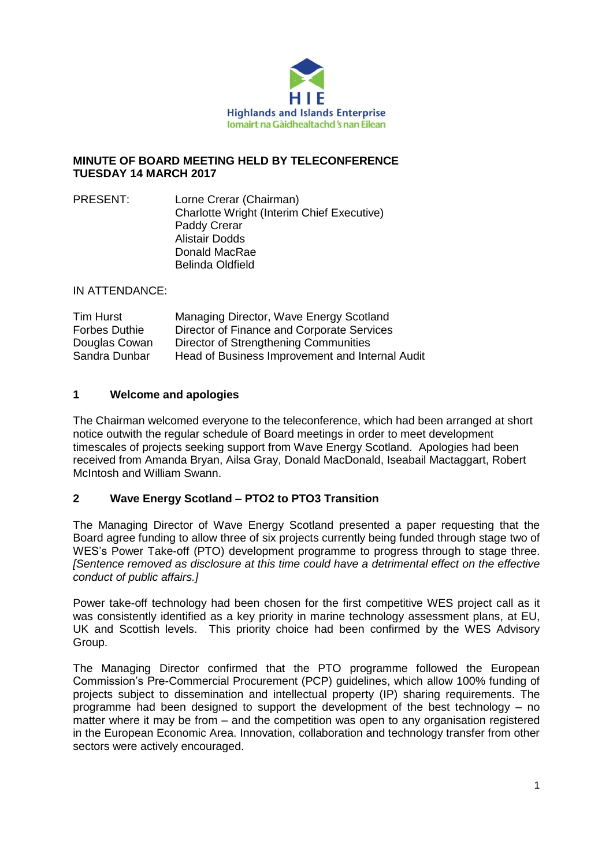

## **MINUTE OF BOARD MEETING HELD BY TELECONFERENCE TUESDAY 14 MARCH 2017**

PRESENT: Lorne Crerar (Chairman) Charlotte Wright (Interim Chief Executive) Paddy Crerar Alistair Dodds Donald MacRae Belinda Oldfield

IN ATTENDANCE:

| Tim Hurst            | Managing Director, Wave Energy Scotland         |
|----------------------|-------------------------------------------------|
| <b>Forbes Duthie</b> | Director of Finance and Corporate Services      |
| Douglas Cowan        | Director of Strengthening Communities           |
| Sandra Dunbar        | Head of Business Improvement and Internal Audit |

## **1 Welcome and apologies**

The Chairman welcomed everyone to the teleconference, which had been arranged at short notice outwith the regular schedule of Board meetings in order to meet development timescales of projects seeking support from Wave Energy Scotland. Apologies had been received from Amanda Bryan, Ailsa Gray, Donald MacDonald, Iseabail Mactaggart, Robert McIntosh and William Swann.

## **2 Wave Energy Scotland – PTO2 to PTO3 Transition**

The Managing Director of Wave Energy Scotland presented a paper requesting that the Board agree funding to allow three of six projects currently being funded through stage two of WES's Power Take-off (PTO) development programme to progress through to stage three. *[Sentence removed as disclosure at this time could have a detrimental effect on the effective conduct of public affairs.]*

Power take-off technology had been chosen for the first competitive WES project call as it was consistently identified as a key priority in marine technology assessment plans, at EU, UK and Scottish levels. This priority choice had been confirmed by the WES Advisory Group.

The Managing Director confirmed that the PTO programme followed the European Commission's Pre-Commercial Procurement (PCP) guidelines, which allow 100% funding of projects subject to dissemination and intellectual property (IP) sharing requirements. The programme had been designed to support the development of the best technology – no matter where it may be from – and the competition was open to any organisation registered in the European Economic Area. Innovation, collaboration and technology transfer from other sectors were actively encouraged.